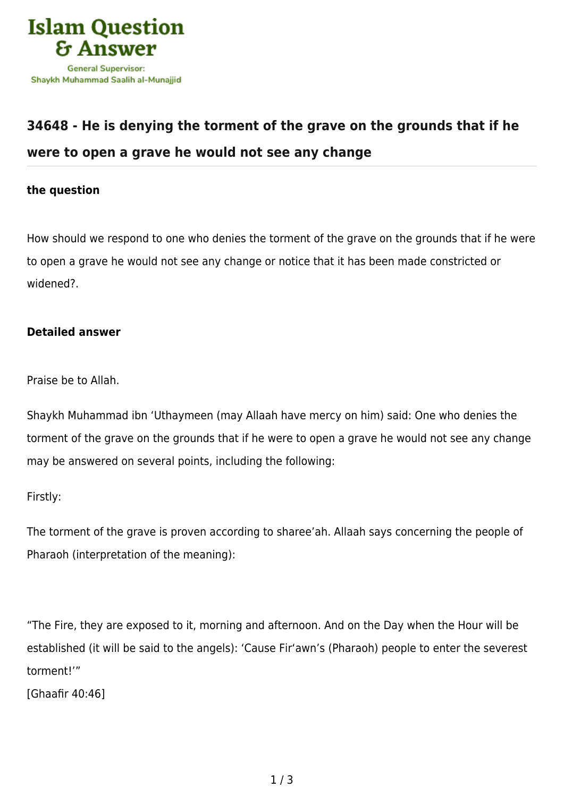

# **[34648 - He is denying the torment of the grave on the grounds that if he](https://islamqa.com/en/answers/34648/he-is-denying-the-torment-of-the-grave-on-the-grounds-that-if-he-were-to-open-a-grave-he-would-not-see-any-change) [were to open a grave he would not see any change](https://islamqa.com/en/answers/34648/he-is-denying-the-torment-of-the-grave-on-the-grounds-that-if-he-were-to-open-a-grave-he-would-not-see-any-change)**

## **the question**

How should we respond to one who denies the torment of the grave on the grounds that if he were to open a grave he would not see any change or notice that it has been made constricted or widened?.

## **Detailed answer**

Praise be to Allah.

Shaykh Muhammad ibn 'Uthaymeen (may Allaah have mercy on him) said: One who denies the torment of the grave on the grounds that if he were to open a grave he would not see any change may be answered on several points, including the following:

Firstly:

The torment of the grave is proven according to sharee'ah. Allaah says concerning the people of Pharaoh (interpretation of the meaning):

"The Fire, they are exposed to it, morning and afternoon. And on the Day when the Hour will be established (it will be said to the angels): 'Cause Fir'awn's (Pharaoh) people to enter the severest torment!'"

[Ghaafir 40:46]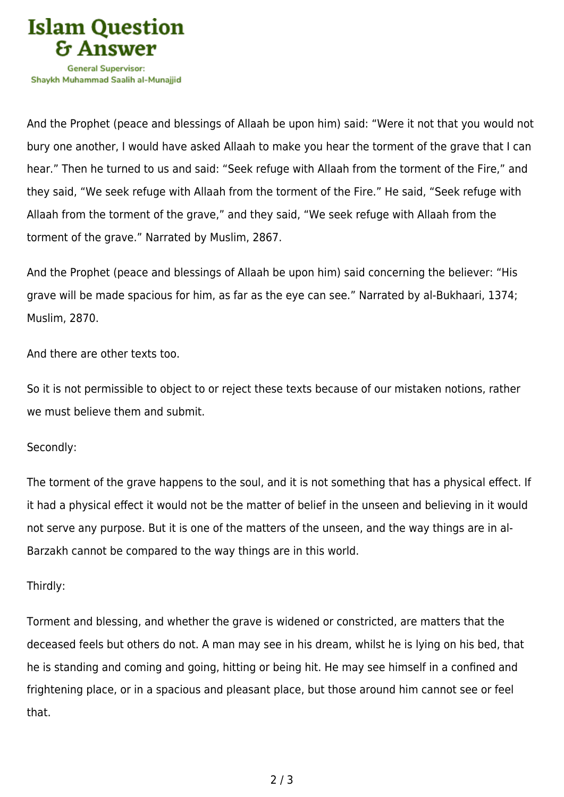

And the Prophet (peace and blessings of Allaah be upon him) said: "Were it not that you would not bury one another, I would have asked Allaah to make you hear the torment of the grave that I can hear." Then he turned to us and said: "Seek refuge with Allaah from the torment of the Fire," and they said, "We seek refuge with Allaah from the torment of the Fire." He said, "Seek refuge with Allaah from the torment of the grave," and they said, "We seek refuge with Allaah from the torment of the grave." Narrated by Muslim, 2867.

And the Prophet (peace and blessings of Allaah be upon him) said concerning the believer: "His grave will be made spacious for him, as far as the eye can see." Narrated by al-Bukhaari, 1374; Muslim, 2870.

And there are other texts too.

So it is not permissible to object to or reject these texts because of our mistaken notions, rather we must believe them and submit.

### Secondly:

The torment of the grave happens to the soul, and it is not something that has a physical effect. If it had a physical effect it would not be the matter of belief in the unseen and believing in it would not serve any purpose. But it is one of the matters of the unseen, and the way things are in al-Barzakh cannot be compared to the way things are in this world.

### Thirdly:

Torment and blessing, and whether the grave is widened or constricted, are matters that the deceased feels but others do not. A man may see in his dream, whilst he is lying on his bed, that he is standing and coming and going, hitting or being hit. He may see himself in a confined and frightening place, or in a spacious and pleasant place, but those around him cannot see or feel that.